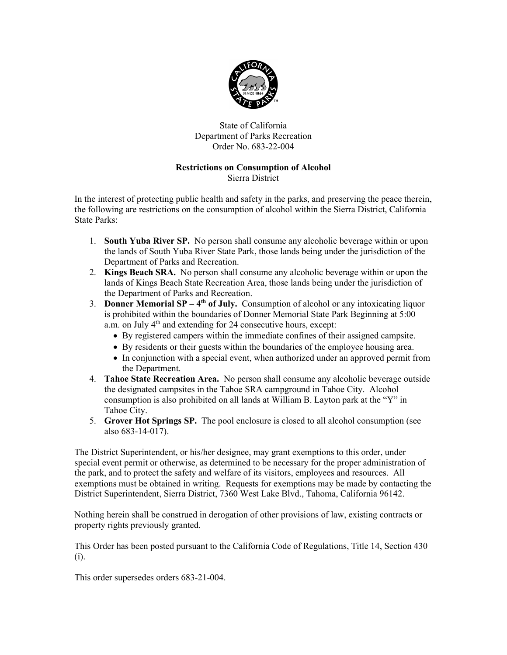

State of California Department of Parks Recreation Order No. 683-22-004

## Restrictions on Consumption of Alcohol Sierra District

In the interest of protecting public health and safety in the parks, and preserving the peace therein, the following are restrictions on the consumption of alcohol within the Sierra District, California State Parks:

- 1. South Yuba River SP. No person shall consume any alcoholic beverage within or upon the lands of South Yuba River State Park, those lands being under the jurisdiction of the Department of Parks and Recreation.
- 2. Kings Beach SRA. No person shall consume any alcoholic beverage within or upon the lands of Kings Beach State Recreation Area, those lands being under the jurisdiction of the Department of Parks and Recreation.
- 3. **Donner Memorial SP**  $4<sup>th</sup>$  of July. Consumption of alcohol or any intoxicating liquor is prohibited within the boundaries of Donner Memorial State Park Beginning at 5:00 a.m. on July 4<sup>th</sup> and extending for 24 consecutive hours, except:
	- By registered campers within the immediate confines of their assigned campsite.
	- By residents or their guests within the boundaries of the employee housing area.
	- In conjunction with a special event, when authorized under an approved permit from the Department.
- 4. Tahoe State Recreation Area. No person shall consume any alcoholic beverage outside the designated campsites in the Tahoe SRA campground in Tahoe City. Alcohol consumption is also prohibited on all lands at William B. Layton park at the "Y" in Tahoe City.
- 5. Grover Hot Springs SP. The pool enclosure is closed to all alcohol consumption (see also 683-14-017).

The District Superintendent, or his/her designee, may grant exemptions to this order, under special event permit or otherwise, as determined to be necessary for the proper administration of the park, and to protect the safety and welfare of its visitors, employees and resources. All exemptions must be obtained in writing. Requests for exemptions may be made by contacting the District Superintendent, Sierra District, 7360 West Lake Blvd., Tahoma, California 96142.

Nothing herein shall be construed in derogation of other provisions of law, existing contracts or property rights previously granted.

This Order has been posted pursuant to the California Code of Regulations, Title 14, Section 430 (i).

This order supersedes orders 683-21-004.